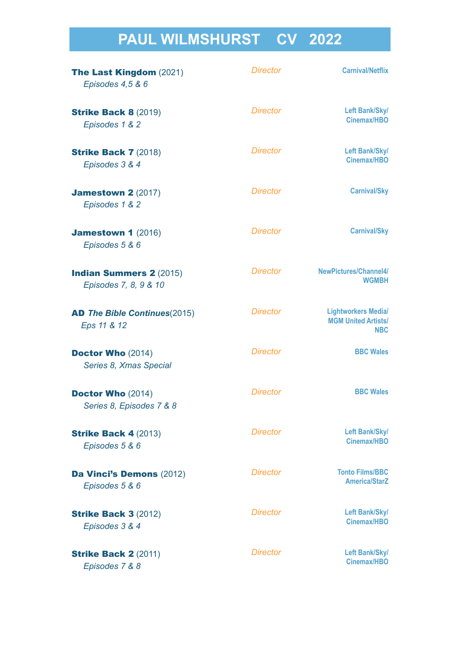# **PAUL WILMSHURST CV 2022**

| <b>The Last Kingdom (2021)</b><br>Episodes 4,5 & 6      | <b>Director</b> | <b>Carnival/Netflix</b>                                                |
|---------------------------------------------------------|-----------------|------------------------------------------------------------------------|
| <b>Strike Back 8 (2019)</b><br>Episodes 1 & 2           | <b>Director</b> | Left Bank/Sky/<br>Cinemax/HBO                                          |
| <b>Strike Back 7 (2018)</b><br>Episodes 3 & 4           | <b>Director</b> | Left Bank/Sky/<br><b>Cinemax/HBO</b>                                   |
| <b>Jamestown 2 (2017)</b><br>Episodes 1 & 2             | <b>Director</b> | <b>Carnival/Sky</b>                                                    |
| <b>Jamestown 1 (2016)</b><br>Episodes 5 & 6             | <b>Director</b> | <b>Carnival/Sky</b>                                                    |
| <b>Indian Summers 2 (2015)</b><br>Episodes 7, 8, 9 & 10 | <b>Director</b> | NewPictures/Channel4/<br><b>WGMBH</b>                                  |
| <b>AD The Bible Continues(2015)</b><br>Eps 11 & 12      | <b>Director</b> | <b>Lightworkers Media/</b><br><b>MGM United Artists/</b><br><b>NBC</b> |
| <b>Doctor Who (2014)</b><br>Series 8, Xmas Special      | <b>Director</b> | <b>BBC Wales</b>                                                       |
| <b>Doctor Who (2014)</b><br>Series 8, Episodes 7 & 8    | <b>Director</b> | <b>BBC Wales</b>                                                       |
| <b>Strike Back 4 (2013)</b><br>Episodes 5 & 6           | <b>Director</b> | Left Bank/Sky/<br>Cinemax/HBO                                          |
| <b>Da Vinci's Demons (2012)</b><br>Episodes 5 & 6       | <b>Director</b> | <b>Tonto Films/BBC</b><br><b>America/StarZ</b>                         |
| <b>Strike Back 3 (2012)</b><br>Episodes 3 & 4           | <b>Director</b> | Left Bank/Sky/<br><b>Cinemax/HBO</b>                                   |
| <b>Strike Back 2 (2011)</b><br>Episodes 7 & 8           | <b>Director</b> | Left Bank/Sky/<br><b>Cinemax/HBO</b>                                   |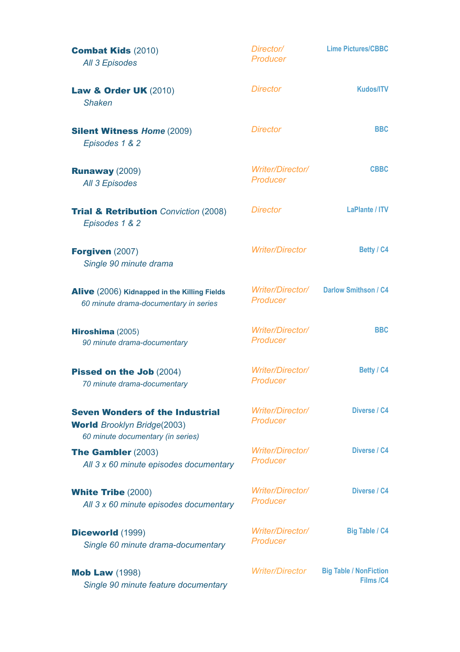| <b>Combat Kids (2010)</b><br>All 3 Episodes                                                              | Director/<br>Producer               | <b>Lime Pictures/CBBC</b>                  |
|----------------------------------------------------------------------------------------------------------|-------------------------------------|--------------------------------------------|
| <b>Law &amp; Order UK (2010)</b><br><b>Shaken</b>                                                        | <b>Director</b>                     | <b>Kudos/ITV</b>                           |
| <b>Silent Witness Home (2009)</b><br>Episodes 1 & 2                                                      | <b>Director</b>                     | <b>BBC</b>                                 |
| <b>Runaway (2009)</b><br><b>All 3 Episodes</b>                                                           | Writer/Director/<br><b>Producer</b> | <b>CBBC</b>                                |
| <b>Trial &amp; Retribution</b> Conviction (2008)<br>Episodes 1 & 2                                       | <b>Director</b>                     | <b>LaPlante / ITV</b>                      |
| Forgiven (2007)<br>Single 90 minute drama                                                                | <b>Writer/Director</b>              | Betty / C4                                 |
| Alive (2006) Kidnapped in the Killing Fields<br>60 minute drama-documentary in series                    | Writer/Director/<br>Producer        | <b>Darlow Smithson / C4</b>                |
| Hiroshima (2005)<br>90 minute drama-documentary                                                          | Writer/Director/<br><b>Producer</b> | <b>BBC</b>                                 |
| Pissed on the Job (2004)<br>70 minute drama-documentary                                                  | Writer/Director/<br>Producer        | Betty / C4                                 |
| <b>Seven Wonders of the Industrial</b><br><b>World</b> Brooklyn Bridge(2003)                             | Writer/Director/<br>Producer        | Diverse / C4                               |
| 60 minute documentary (in series)<br><b>The Gambler (2003)</b><br>All 3 x 60 minute episodes documentary | Writer/Director/<br>Producer        | Diverse / C4                               |
| <b>White Tribe (2000)</b><br>All 3 x 60 minute episodes documentary                                      | Writer/Director/<br>Producer        | Diverse / C4                               |
| <b>Diceworld (1999)</b><br>Single 60 minute drama-documentary                                            | Writer/Director/<br>Producer        | <b>Big Table / C4</b>                      |
| <b>Mob Law (1998)</b><br>Single 90 minute feature documentary                                            | <b>Writer/Director</b>              | <b>Big Table / NonFiction</b><br>Films /C4 |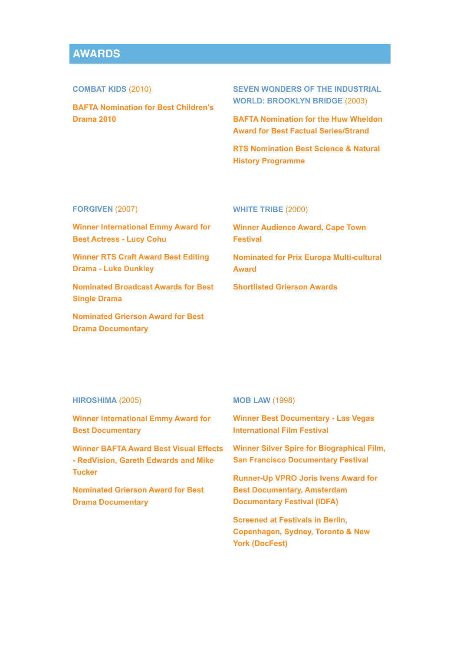## **AWARDS**

**COMBAT KIDS** (2010)

**BAFTA Nomination for Best Children's Drama 2010** 

**SEVEN WONDERS OF THE INDUSTRIAL WORLD: BROOKLYN BRIDGE** (2003)

**BAFTA Nomination for the Huw Wheldon Award for Best Factual Series/Strand** 

**RTS Nomination Best Science & Natural History Programme** 

## **FORGIVEN** (2007)

**Winner International Emmy Award for Best Actress - Lucy Cohu** 

**Winner RTS Craft Award Best Editing Drama - Luke Dunkley** 

**Nominated Broadcast Awards for Best Single Drama** 

**Nominated Grierson Award for Best Drama Documentary** 

## **WHITE TRIBE** (2000)

**Winner Audience Award, Cape Town Festival** 

**Nominated for Prix Europa Multi-cultural Award** 

**Shortlisted Grierson Awards**

## **HIROSHIMA** (2005)

**Winner International Emmy Award for Best Documentary** 

**Winner BAFTA Award Best Visual Effects - RedVision, Gareth Edwards and Mike Tucker** 

**Nominated Grierson Award for Best Drama Documentary** 

#### **MOB LAW** (1998)

**Winner Best Documentary - Las Vegas International Film Festival** 

**Winner Silver Spire for Biographical Film, San Francisco Documentary Festival** 

**Runner-Up VPRO Joris Ivens Award for Best Documentary, Amsterdam Documentary Festival (IDFA)** 

**Screened at Festivals in Berlin, Copenhagen, Sydney, Toronto & New York (DocFest)**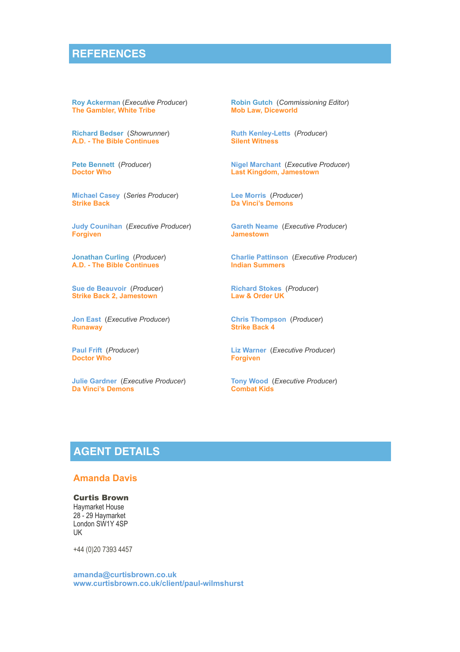## **REFERENCES**

**[Roy Ackerman](mailto:royack1@gmail.com)** (*Executive Producer*) **The Gambler, White Tribe**

**[Richard Bedser](mailto:richardbedser@hotmail.com?subject=)** (*Showrunner*) **A.D. - The Bible Continues**

**[Pete Bennett](mailto:Pete%20Bennett%20%3Cpeterbennett19@me.com%3E)** (*Producer*) **Doctor Who**

**[Michael Casey](mailto:Michael%20Casey%20%3CMichael.Casey@leftbankpictures.co.uk%3E?subject=)** (*Series Producer*) **Strike Back**

**[Judy Counihan](mailto:judycounihan@googlemail.com?subject=)** (*Executive Producer*) **Forgiven**

**[Jonathan Curling](mailto:jcurling@me.com?subject=)** (*Producer*) **A.D. - The Bible Continues**

**[Sue de Beauvoir](mailto:Sue%20de%20Beauvoir%20%3Csuedebeauvoir@hotmail.com%3E)** (*Producer*) **Strike Back 2, Jamestown**

**[Jon East](mailto:joneast@mac.com?subject=)** (*Executive Producer*) **Runaway**

**[Paul Frift](mailto:paulfrift6@gmail.com?subject=)** (*Producer*) **Doctor Who**

**[Julie Gardner](mailto:Julie%20Gardner%20%3CJulie.Gardner@bbc.com%3E?subject=)** (*Executive Producer*) **Da Vinci's Demons** 

**[Robin Gutch](mailto:robin@warpfilms.com?subject=)** (*Commissioning Editor*) **Mob Law, Diceworld**

**[Ruth Kenley-Letts](mailto:ruth@kenleyletts.com)** (*Producer*) **Silent Witness**

**[Nigel Marchant](mailto:nmarchant@carnivalfilms.co.uk)** (*Executive Producer*) **Last Kingdom, Jamestown**

**[Lee Morris](mailto:Lee%20Morris%20%3Clee@leemorris.net%3E?subject=)** (*Producer*) **Da Vinci's Demons** 

**[Gareth Neame](mailto:gneame@carnivalfilms.co.uk)** (*Executive Producer*) **Jamestown** 

**[Charlie Pattinson](mailto:%20%3CCharliepattinson@newpictures.co.uk%3E)** (*Executive Producer*) **Indian Summers**

**[Richard Stokes](mailto:Richard%20Stokes%20%3Cra.stokes@virgin.net%3E?subject=)** (*Producer*) **Law & Order UK**

**[Chris Thompson](mailto:Chris%20Thompson%20%3Cchristhompson5550@yahoo.co.uk%3E?subject=)** (*Producer*) **Strike Back 4**

**[Liz Warner](mailto:Liz@bettytv.co.uk)** (*Executive Producer*) **Forgiven**

**[Tony Wood](mailto:Tony%20Wood%20%3CTWood@limepictures.com%3E?subject=)** (*Executive Producer*) **Combat Kids**

# **AGENT DETAILS**

## **Amanda Davis**

#### Curtis Brown

Haymarket House 28 - 29 Haymarket London SW1Y 4SP UK

+44 (0)20 7393 4457

**[amanda@curtisbrown.co.uk](mailto:amanda@curtisbrown.co.uk)  [www.curtisbrown.co.uk/client/paul-wilmshurst](http://www.curtisbrown.co.uk/client/paul-wilmshurst)**